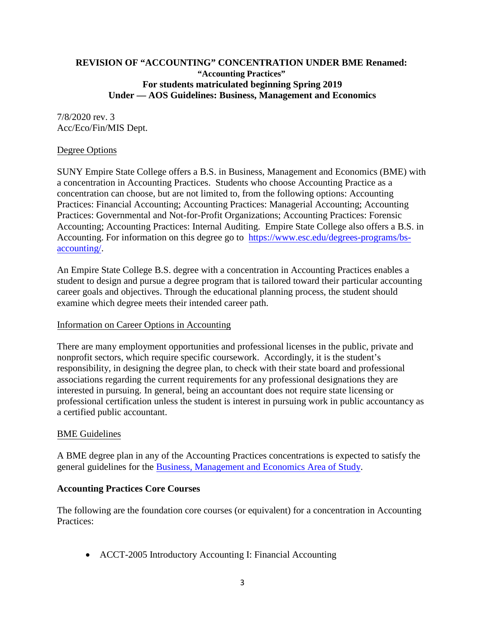### **REVISION OF "ACCOUNTING" CONCENTRATION UNDER BME Renamed: "Accounting Practices" For students matriculated beginning Spring 2019 Under — AOS Guidelines: Business, Management and Economics**

### 7/8/2020 rev. 3 Acc/Eco/Fin/MIS Dept.

### Degree Options

SUNY Empire State College offers a B.S. in Business, Management and Economics (BME) with a concentration in Accounting Practices. Students who choose Accounting Practice as a concentration can choose, but are not limited to, from the following options: Accounting Practices: Financial Accounting; Accounting Practices: Managerial Accounting; Accounting Practices: Governmental and Not-for-Profit Organizations; Accounting Practices: Forensic Accounting; Accounting Practices: Internal Auditing. Empire State College also offers a B.S. in Accounting. For information on this degree go to [https://www.esc.edu/degrees-programs/bs](https://www.esc.edu/degrees-programs/bs-accounting/)[accounting/.](about:blank)

An Empire State College B.S. degree with a concentration in Accounting Practices enables a student to design and pursue a degree program that is tailored toward their particular accounting career goals and objectives. Through the educational planning process, the student should examine which degree meets their intended career path.

#### Information on Career Options in Accounting

There are many employment opportunities and professional licenses in the public, private and nonprofit sectors, which require specific coursework. Accordingly, it is the student's responsibility, in designing the degree plan, to check with their state board and professional associations regarding the current requirements for any professional designations they are interested in pursuing. In general, being an accountant does not require state licensing or professional certification unless the student is interest in pursuing work in public accountancy as a certified public accountant.

## BME Guidelines

A BME degree plan in any of the Accounting Practices concentrations is expected to satisfy the general guidelines for the [Business, Management and Economics Area](https://www.esc.edu/degrees-programs/undergraduate-aos/business-management-economics/bme-guidelines/) of Study.

#### **Accounting Practices Core Courses**

The following are the foundation core courses (or equivalent) for a concentration in Accounting Practices:

• ACCT-2005 Introductory Accounting I: Financial Accounting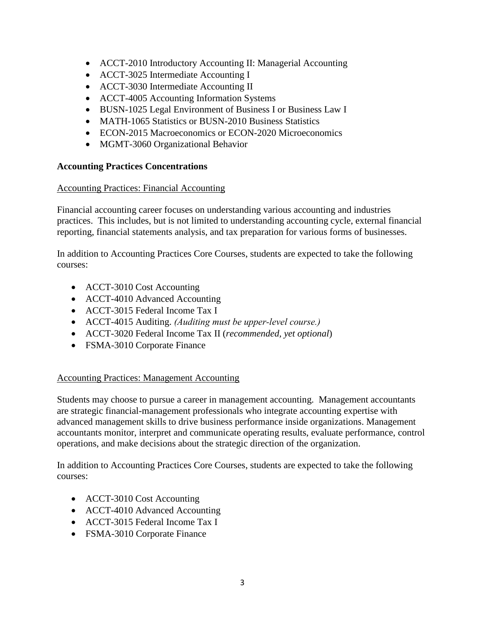- ACCT-2010 Introductory Accounting II: Managerial Accounting
- ACCT-3025 Intermediate Accounting I
- ACCT-3030 Intermediate Accounting II
- ACCT-4005 Accounting Information Systems
- BUSN-1025 Legal Environment of Business I or Business Law I
- MATH-1065 Statistics or BUSN-2010 Business Statistics
- ECON-2015 Macroeconomics or ECON-2020 Microeconomics
- MGMT-3060 Organizational Behavior

### **Accounting Practices Concentrations**

### Accounting Practices: Financial Accounting

Financial accounting career focuses on understanding various accounting and industries practices. This includes, but is not limited to understanding accounting cycle, external financial reporting, financial statements analysis, and tax preparation for various forms of businesses.

In addition to Accounting Practices Core Courses, students are expected to take the following courses:

- ACCT-3010 Cost Accounting
- ACCT-4010 Advanced Accounting
- ACCT-3015 Federal Income Tax I
- ACCT-4015 Auditing. *(Auditing must be upper-level course.)*
- ACCT-3020 Federal Income Tax II (*recommended, yet optional*)
- FSMA-3010 Corporate Finance

## Accounting Practices: Management Accounting

Students may choose to pursue a career in management accounting. Management accountants are strategic financial-management professionals who integrate accounting expertise with advanced management skills to drive business performance inside organizations. Management accountants monitor, interpret and communicate operating results, evaluate performance, control operations, and make decisions about the strategic direction of the organization.

In addition to Accounting Practices Core Courses, students are expected to take the following courses:

- ACCT-3010 Cost Accounting
- ACCT-4010 Advanced Accounting
- ACCT-3015 Federal Income Tax I
- FSMA-3010 Corporate Finance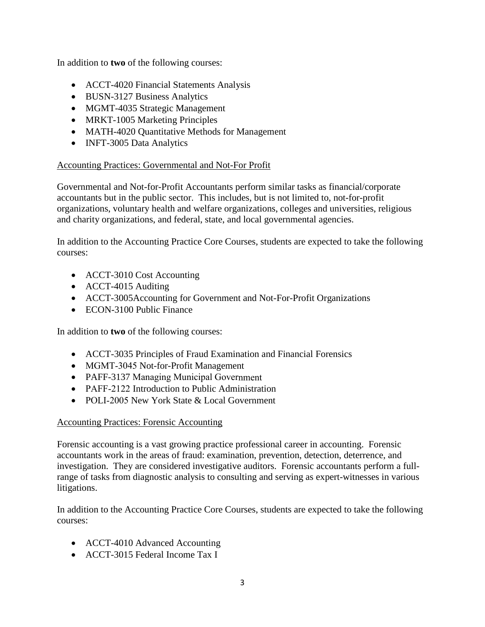In addition to **two** of the following courses:

- ACCT-4020 Financial Statements Analysis
- BUSN-3127 Business Analytics
- MGMT-4035 Strategic Management
- MRKT-1005 Marketing Principles
- MATH-4020 Quantitative Methods for Management
- INFT-3005 Data Analytics

### Accounting Practices: Governmental and Not-For Profit

Governmental and Not-for-Profit Accountants perform similar tasks as financial/corporate accountants but in the public sector. This includes, but is not limited to, not-for-profit organizations, voluntary health and welfare organizations, colleges and universities, religious and charity organizations, and federal, state, and local governmental agencies.

In addition to the Accounting Practice Core Courses, students are expected to take the following courses:

- ACCT-3010 Cost Accounting
- ACCT-4015 Auditing
- ACCT-3005Accounting for Government and Not-For-Profit Organizations
- ECON-3100 Public Finance

In addition to **two** of the following courses:

- ACCT-3035 Principles of Fraud Examination and Financial Forensics
- MGMT-3045 Not-for-Profit Management
- PAFF-3137 Managing Municipal Government
- PAFF-2122 Introduction to Public Administration
- POLI-2005 New York State & Local Government

## Accounting Practices: Forensic Accounting

Forensic accounting is a vast growing practice professional career in accounting. Forensic accountants work in the areas of fraud: examination, prevention, detection, deterrence, and investigation. They are considered investigative auditors. Forensic accountants perform a fullrange of tasks from diagnostic analysis to consulting and serving as expert-witnesses in various litigations.

In addition to the Accounting Practice Core Courses, students are expected to take the following courses:

- ACCT-4010 Advanced Accounting
- ACCT-3015 Federal Income Tax I